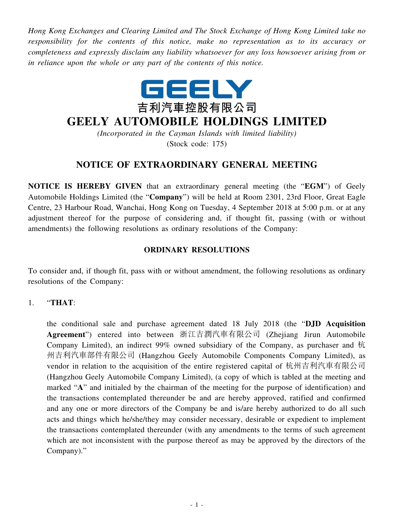*Hong Kong Exchanges and Clearing Limited and The Stock Exchange of Hong Kong Limited take no responsibility for the contents of this notice, make no representation as to its accuracy or completeness and expressly disclaim any liability whatsoever for any loss howsoever arising from or in reliance upon the whole or any part of the contents of this notice.*



# **GEELY AUTOMOBILE HOLDINGS LIMITED**

*(Incorporated in the Cayman Islands with limited liability)* (Stock code: 175)

## **NOTICE OF EXTRAORDINARY GENERAL MEETING**

**NOTICE IS HEREBY GIVEN** that an extraordinary general meeting (the "**EGM**") of Geely Automobile Holdings Limited (the "**Company**") will be held at Room 2301, 23rd Floor, Great Eagle Centre, 23 Harbour Road, Wanchai, Hong Kong on Tuesday, 4 September 2018 at 5:00 p.m. or at any adjustment thereof for the purpose of considering and, if thought fit, passing (with or without amendments) the following resolutions as ordinary resolutions of the Company:

#### **ORDINARY RESOLUTIONS**

To consider and, if though fit, pass with or without amendment, the following resolutions as ordinary resolutions of the Company:

#### 1. "**THAT**:

the conditional sale and purchase agreement dated 18 July 2018 (the "**DJD Acquisition Agreement**") entered into between 浙江吉潤汽車有限公司 (Zhejiang Jirun Automobile Company Limited), an indirect 99% owned subsidiary of the Company, as purchaser and 杭 州吉利汽車部件有限公司 (Hangzhou Geely Automobile Components Company Limited), as vendor in relation to the acquisition of the entire registered capital of 杭州吉利汽車有限公司 (Hangzhou Geely Automobile Company Limited), (a copy of which is tabled at the meeting and marked "**A**" and initialed by the chairman of the meeting for the purpose of identification) and the transactions contemplated thereunder be and are hereby approved, ratified and confirmed and any one or more directors of the Company be and is/are hereby authorized to do all such acts and things which he/she/they may consider necessary, desirable or expedient to implement the transactions contemplated thereunder (with any amendments to the terms of such agreement which are not inconsistent with the purpose thereof as may be approved by the directors of the Company)."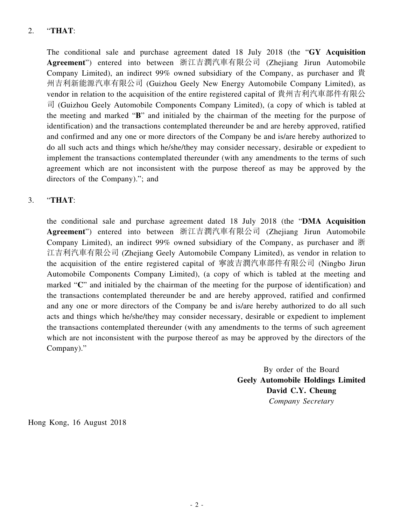### 2. "**THAT**:

The conditional sale and purchase agreement dated 18 July 2018 (the "**GY Acquisition Agreement**") entered into between 浙江吉潤汽車有限公司 (Zhejiang Jirun Automobile Company Limited), an indirect 99% owned subsidiary of the Company, as purchaser and 貴 州吉利新能源汽車有限公司 (Guizhou Geely New Energy Automobile Company Limited), as vendor in relation to the acquisition of the entire registered capital of 貴州吉利汽車部件有限公 司 (Guizhou Geely Automobile Components Company Limited), (a copy of which is tabled at the meeting and marked "**B**" and initialed by the chairman of the meeting for the purpose of identification) and the transactions contemplated thereunder be and are hereby approved, ratified and confirmed and any one or more directors of the Company be and is/are hereby authorized to do all such acts and things which he/she/they may consider necessary, desirable or expedient to implement the transactions contemplated thereunder (with any amendments to the terms of such agreement which are not inconsistent with the purpose thereof as may be approved by the directors of the Company)."; and

#### 3. "**THAT**:

the conditional sale and purchase agreement dated 18 July 2018 (the "**DMA Acquisition Agreement**") entered into between 浙江吉潤汽車有限公司 (Zhejiang Jirun Automobile Company Limited), an indirect 99% owned subsidiary of the Company, as purchaser and 浙 江吉利汽車有限公司 (Zhejiang Geely Automobile Company Limited), as vendor in relation to the acquisition of the entire registered capital of 寧波吉潤汽車部件有限公司 (Ningbo Jirun Automobile Components Company Limited), (a copy of which is tabled at the meeting and marked "**C**" and initialed by the chairman of the meeting for the purpose of identification) and the transactions contemplated thereunder be and are hereby approved, ratified and confirmed and any one or more directors of the Company be and is/are hereby authorized to do all such acts and things which he/she/they may consider necessary, desirable or expedient to implement the transactions contemplated thereunder (with any amendments to the terms of such agreement which are not inconsistent with the purpose thereof as may be approved by the directors of the Company)."

> By order of the Board **Geely Automobile Holdings Limited David C.Y. Cheung** *Company Secretary*

Hong Kong, 16 August 2018